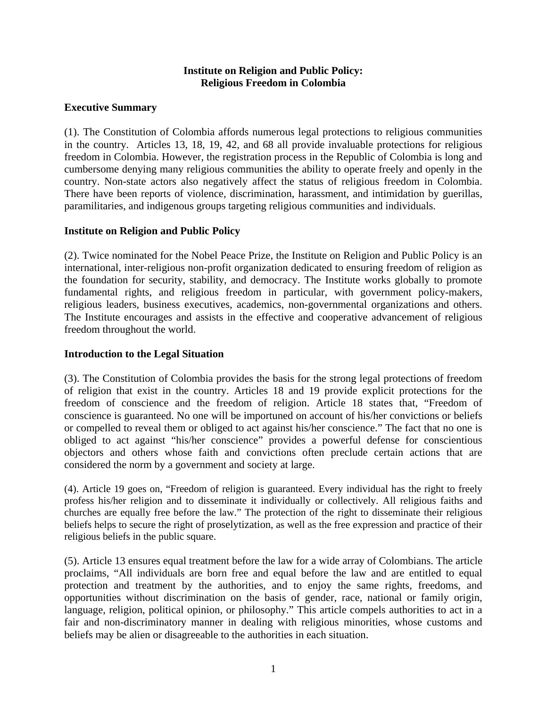## **Institute on Religion and Public Policy: Religious Freedom in Colombia**

## **Executive Summary**

(1). The Constitution of Colombia affords numerous legal protections to religious communities in the country. Articles 13, 18, 19, 42, and 68 all provide invaluable protections for religious freedom in Colombia. However, the registration process in the Republic of Colombia is long and cumbersome denying many religious communities the ability to operate freely and openly in the country. Non-state actors also negatively affect the status of religious freedom in Colombia. There have been reports of violence, discrimination, harassment, and intimidation by guerillas, paramilitaries, and indigenous groups targeting religious communities and individuals.

## **Institute on Religion and Public Policy**

(2). Twice nominated for the Nobel Peace Prize, the Institute on Religion and Public Policy is an international, inter-religious non-profit organization dedicated to ensuring freedom of religion as the foundation for security, stability, and democracy. The Institute works globally to promote fundamental rights, and religious freedom in particular, with government policy-makers, religious leaders, business executives, academics, non-governmental organizations and others. The Institute encourages and assists in the effective and cooperative advancement of religious freedom throughout the world.

### **Introduction to the Legal Situation**

(3). The Constitution of Colombia provides the basis for the strong legal protections of freedom of religion that exist in the country. Articles 18 and 19 provide explicit protections for the freedom of conscience and the freedom of religion. Article 18 states that, "Freedom of conscience is guaranteed. No one will be importuned on account of his/her convictions or beliefs or compelled to reveal them or obliged to act against his/her conscience." The fact that no one is obliged to act against "his/her conscience" provides a powerful defense for conscientious objectors and others whose faith and convictions often preclude certain actions that are considered the norm by a government and society at large.

(4). Article 19 goes on, "Freedom of religion is guaranteed. Every individual has the right to freely profess his/her religion and to disseminate it individually or collectively. All religious faiths and churches are equally free before the law." The protection of the right to disseminate their religious beliefs helps to secure the right of proselytization, as well as the free expression and practice of their religious beliefs in the public square.

(5). Article 13 ensures equal treatment before the law for a wide array of Colombians. The article proclaims, "All individuals are born free and equal before the law and are entitled to equal protection and treatment by the authorities, and to enjoy the same rights, freedoms, and opportunities without discrimination on the basis of gender, race, national or family origin, language, religion, political opinion, or philosophy." This article compels authorities to act in a fair and non-discriminatory manner in dealing with religious minorities, whose customs and beliefs may be alien or disagreeable to the authorities in each situation.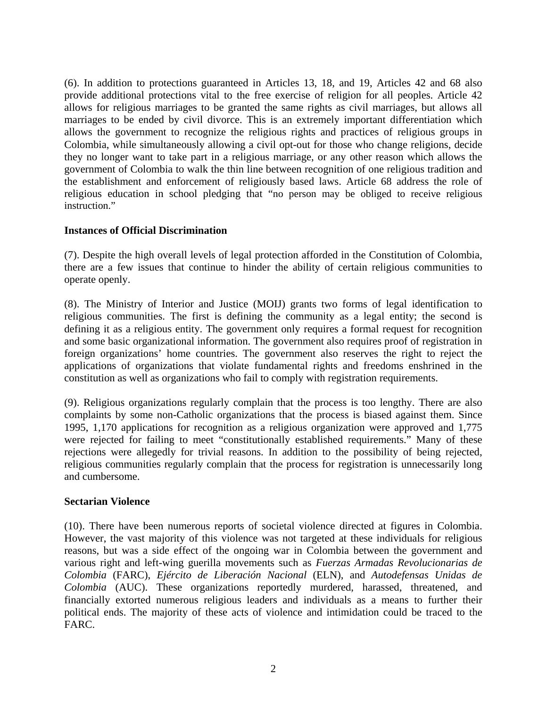(6). In addition to protections guaranteed in Articles 13, 18, and 19, Articles 42 and 68 also provide additional protections vital to the free exercise of religion for all peoples. Article 42 allows for religious marriages to be granted the same rights as civil marriages, but allows all marriages to be ended by civil divorce. This is an extremely important differentiation which allows the government to recognize the religious rights and practices of religious groups in Colombia, while simultaneously allowing a civil opt-out for those who change religions, decide they no longer want to take part in a religious marriage, or any other reason which allows the government of Colombia to walk the thin line between recognition of one religious tradition and the establishment and enforcement of religiously based laws. Article 68 address the role of religious education in school pledging that "no person may be obliged to receive religious instruction."

## **Instances of Official Discrimination**

(7). Despite the high overall levels of legal protection afforded in the Constitution of Colombia, there are a few issues that continue to hinder the ability of certain religious communities to operate openly.

(8). The Ministry of Interior and Justice (MOIJ) grants two forms of legal identification to religious communities. The first is defining the community as a legal entity; the second is defining it as a religious entity. The government only requires a formal request for recognition and some basic organizational information. The government also requires proof of registration in foreign organizations' home countries. The government also reserves the right to reject the applications of organizations that violate fundamental rights and freedoms enshrined in the constitution as well as organizations who fail to comply with registration requirements.

(9). Religious organizations regularly complain that the process is too lengthy. There are also complaints by some non-Catholic organizations that the process is biased against them. Since 1995, 1,170 applications for recognition as a religious organization were approved and 1,775 were rejected for failing to meet "constitutionally established requirements." Many of these rejections were allegedly for trivial reasons. In addition to the possibility of being rejected, religious communities regularly complain that the process for registration is unnecessarily long and cumbersome.

#### **Sectarian Violence**

(10). There have been numerous reports of societal violence directed at figures in Colombia. However, the vast majority of this violence was not targeted at these individuals for religious reasons, but was a side effect of the ongoing war in Colombia between the government and various right and left-wing guerilla movements such as *Fuerzas Armadas Revolucionarias de Colombia* (FARC), *Ejército de Liberación Nacional* (ELN), and *Autodefensas Unidas de Colombia* (AUC). These organizations reportedly murdered, harassed, threatened, and financially extorted numerous religious leaders and individuals as a means to further their political ends. The majority of these acts of violence and intimidation could be traced to the FARC.